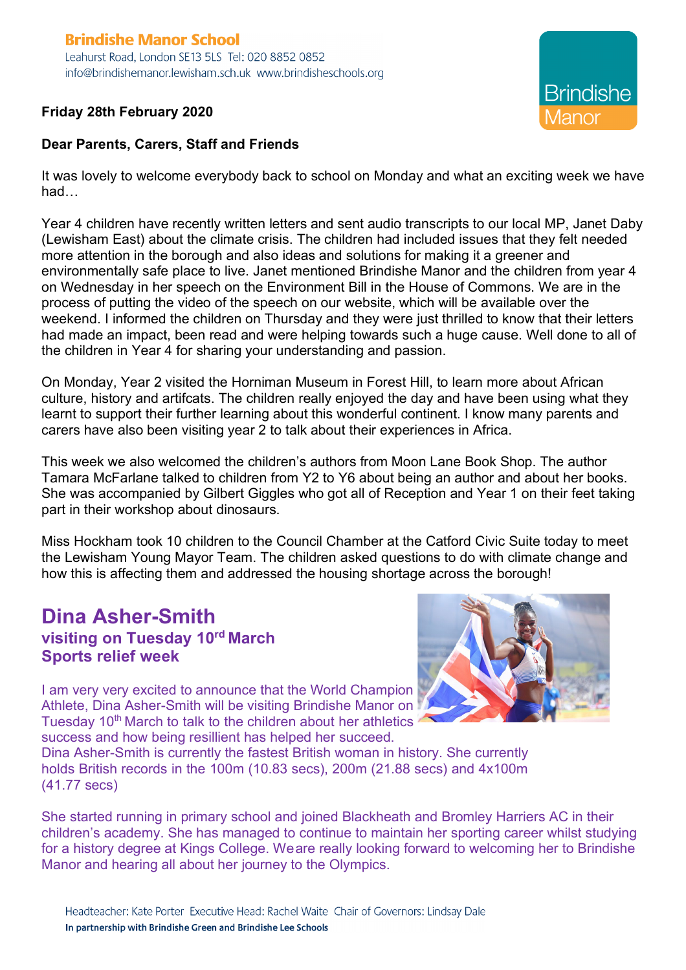#### **Brindishe Manor School** Leahurst Road, London SE13 5LS Tel: 020 8852 0852 info@brindishemanor.lewisham.sch.uk www.brindisheschools.org

**Friday 28th February 2020**



**Brindishe** *A*anor

# **Dear Parents, Carers, Staff and Friends**

It was lovely to welcome everybody back to school on Monday and what an exciting week we have had…

Year 4 children have recently written letters and sent audio transcripts to our local MP, Janet Daby (Lewisham East) about the climate crisis. The children had included issues that they felt needed more attention in the borough and also ideas and solutions for making it a greener and environmentally safe place to live. Janet mentioned Brindishe Manor and the children from year 4 on Wednesday in her speech on the Environment Bill in the House of Commons. We are in the process of putting the video of the speech on our website, which will be available over the weekend. I informed the children on Thursday and they were just thrilled to know that their letters had made an impact, been read and were helping towards such a huge cause. Well done to all of the children in Year 4 for sharing your understanding and passion.

On Monday, Year 2 visited the Horniman Museum in Forest Hill, to learn more about African culture, history and artifcats. The children really enjoyed the day and have been using what they learnt to support their further learning about this wonderful continent. I know many parents and carers have also been visiting year 2 to talk about their experiences in Africa.

This week we also welcomed the children's authors from Moon Lane Book Shop. The author Tamara McFarlane talked to children from Y2 to Y6 about being an author and about her books. She was accompanied by Gilbert Giggles who got all of Reception and Year 1 on their feet taking part in their workshop about dinosaurs.

Miss Hockham took 10 children to the Council Chamber at the Catford Civic Suite today to meet the Lewisham Young Mayor Team. The children asked questions to do with climate change and how this is affecting them and addressed the housing shortage across the borough!

# **Dina Asher-Smith visiting on Tuesday 10rd March Sports relief week**



I am very very excited to announce that the World Champion Athlete, Dina Asher-Smith will be visiting Brindishe Manor on Tuesday 10<sup>th</sup> March to talk to the children about her athletics success and how being resillient has helped her succeed.

Dina Asher-Smith is currently the fastest British woman in history. She currently holds British records in the 100m (10.83 secs), 200m (21.88 secs) and 4x100m (41.77 secs)

She started running in primary school and joined Blackheath and Bromley Harriers AC in their children's academy. She has managed to continue to maintain her sporting career whilst studying for a history degree at Kings College. Weare really looking forward to welcoming her to Brindishe Manor and hearing all about her journey to the Olympics.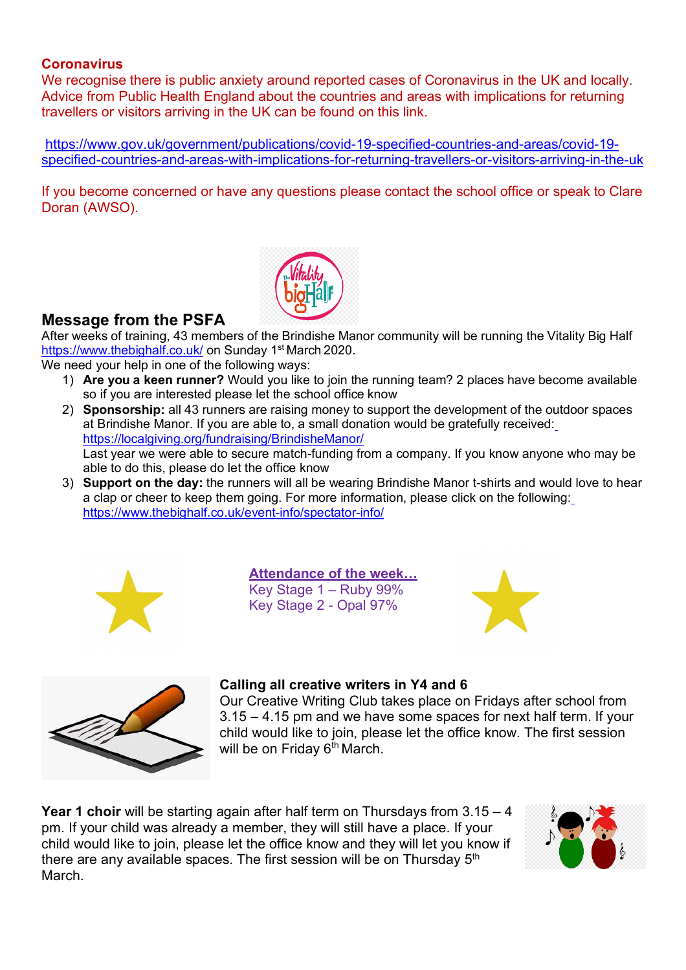#### **Coronavirus**

We recognise there is public anxiety around reported cases of Coronavirus in the UK and locally. Advice from Public Health England about the countries and areas with implications for returning travellers or visitors arriving in the UK can be found on this link.

https://www.gov.uk/government/publications/covid-19-specified-countries-and-areas/covid-19 specified-countries-and-areas-with-implications-for-returning-travellers-or-visitors-arriving-in-the-uk

If you become concerned or have any questions please contact the school office or speak to Clare Doran (AWSO).



# **Message from the PSFA**

After weeks of training, 43 members of the Brindishe Manor community will be running the Vitality Big Half https://www.thebighalf.co.uk/ on Sunday 1<sup>st</sup> March 2020.

We need your help in one of the following ways:

- 1) **Are you a keen runner?** Would you like to join the running team? 2 places have become available so if you are interested please let the school office know
- 2) **Sponsorship:** all 43 runners are raising money to support the development of the outdoor spaces at Brindishe Manor. If you are able to, a small donation would be gratefully received: https://localgiving.org/fundraising/BrindisheManor/ Last year we were able to secure match-funding from a company. If you know anyone who may be able to do this, please do let the office know
- 3) **Support on the day:** the runners will all be wearing Brindishe Manor t-shirts and would love to hear a clap or cheer to keep them going. For more information, please click on the following: https://www.thebighalf.co.uk/event-info/spectator-info/



**Attendance of the week…** Key Stage 1 – Ruby 99% Key Stage 2 - Opal 97%





## **Calling all creative writers in Y4 and 6**

Our Creative Writing Club takes place on Fridays after school from 3.15 – 4.15 pm and we have some spaces for next half term. If your child would like to join, please let the office know. The first session will be on Friday 6<sup>th</sup> March.

**Year 1 choir** will be starting again after half term on Thursdays from 3.15 – 4 pm. If your child was already a member, they will still have a place. If your child would like to join, please let the office know and they will let you know if there are any available spaces. The first session will be on Thursday  $5<sup>th</sup>$ March.

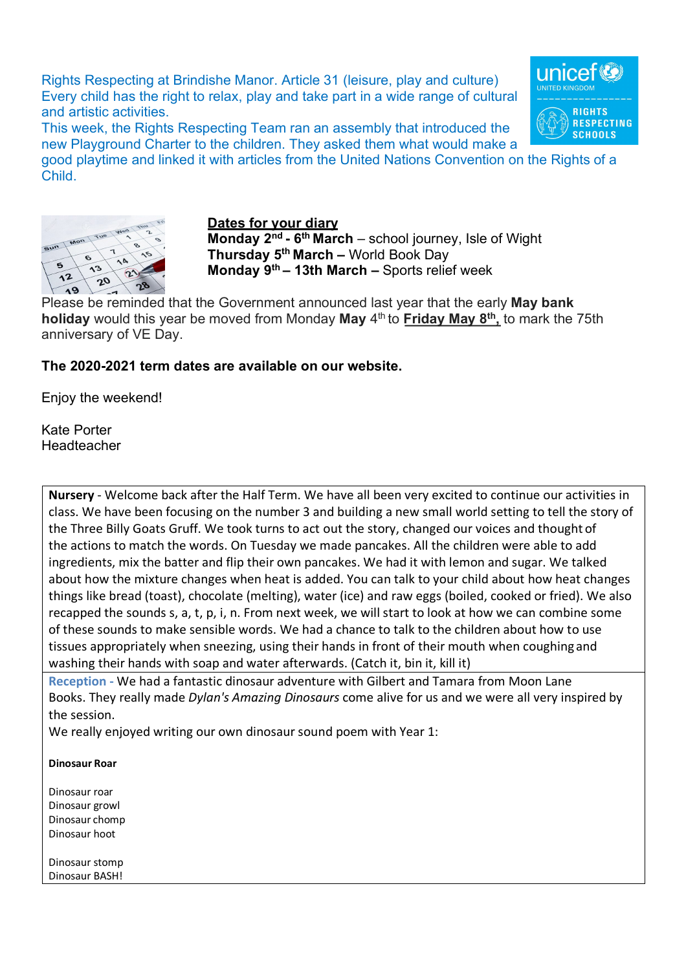Rights Respecting at Brindishe Manor. Article 31 (leisure, play and culture) Every child has the right to relax, play and take part in a wide range of cultural and artistic activities.

This week, the Rights Respecting Team ran an assembly that introduced the new Playground Charter to the children. They asked them what would make a

good playtime and linked it with articles from the United Nations Convention on the Rights of a Child.



#### **Dates for your diary**

**Monday 2nd - 6th March** – school journey, Isle of Wight **Thursday 5th March –** World Book Day **Monday 9th – 13th March –** Sports relief week

Please be reminded that the Government announced last year that the early **May bank holiday** would this year be moved from Monday **May** 4th to **Friday May 8th,** to mark the 75th anniversary of VE Day.

## **The 2020-2021 term dates are available on our website.**

Enjoy the weekend!

Kate Porter Headteacher

**Nursery** - Welcome back after the Half Term. We have all been very excited to continue our activities in class. We have been focusing on the number 3 and building a new small world setting to tell the story of the Three Billy Goats Gruff. We took turns to act out the story, changed our voices and thought of the actions to match the words. On Tuesday we made pancakes. All the children were able to add ingredients, mix the batter and flip their own pancakes. We had it with lemon and sugar. We talked about how the mixture changes when heat is added. You can talk to your child about how heat changes things like bread (toast), chocolate (melting), water (ice) and raw eggs (boiled, cooked or fried). We also recapped the sounds s, a, t, p, i, n. From next week, we will start to look at how we can combine some of these sounds to make sensible words. We had a chance to talk to the children about how to use tissues appropriately when sneezing, using their hands in front of their mouth when coughing and washing their hands with soap and water afterwards. (Catch it, bin it, kill it)

**Reception -** We had a fantastic dinosaur adventure with Gilbert and Tamara from Moon Lane Books. They really made *Dylan's Amazing Dinosaurs* come alive for us and we were all very inspired by the session.

We really enjoyed writing our own dinosaur sound poem with Year 1:

#### **Dinosaur Roar**

Dinosaur roar Dinosaur growl Dinosaur chomp Dinosaur hoot

Dinosaur stomp Dinosaur BASH!

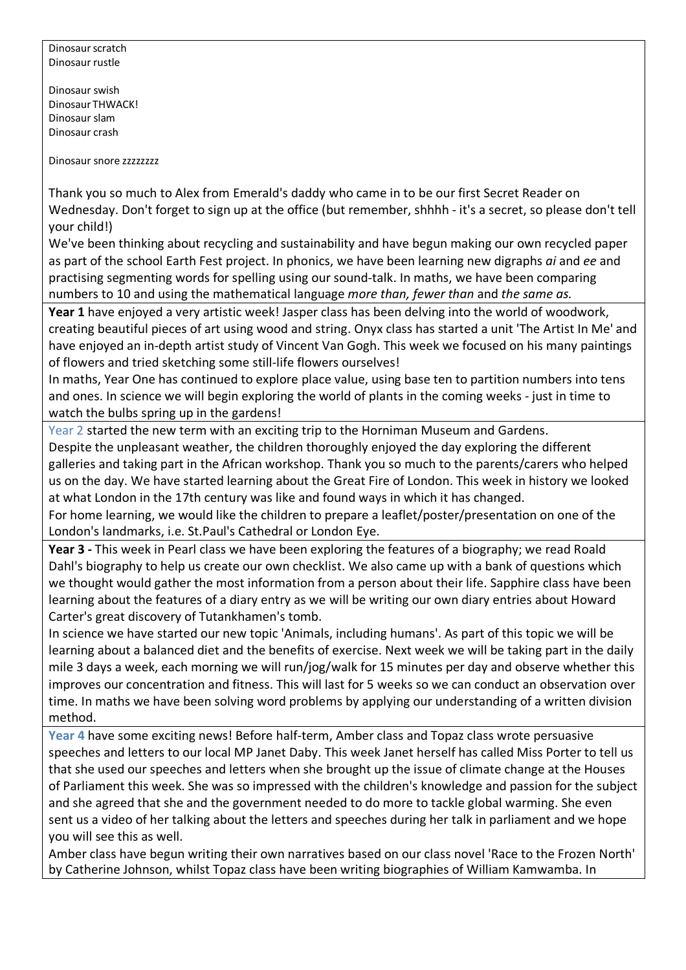Dinosaur scratch Dinosaur rustle

Dinosaur swish Dinosaur THWACK! Dinosaur slam Dinosaur crash

Dinosaur snore zzzzzzzz

Thank you so much to Alex from Emerald's daddy who came in to be our first Secret Reader on Wednesday. Don't forget to sign up at the office (but remember, shhhh - it's a secret, so please don't tell your child!)

We've been thinking about recycling and sustainability and have begun making our own recycled paper as part of the school Earth Fest project. In phonics, we have been learning new digraphs *ai* and *ee* and practising segmenting words for spelling using our sound-talk. In maths, we have been comparing numbers to 10 and using the mathematical language *more than, fewer than* and *the same as.*

**Year 1** have enjoyed a very artistic week! Jasper class has been delving into the world of woodwork, creating beautiful pieces of art using wood and string. Onyx class has started a unit 'The Artist In Me' and have enjoyed an in-depth artist study of Vincent Van Gogh. This week we focused on his many paintings of flowers and tried sketching some still-life flowers ourselves!

In maths, Year One has continued to explore place value, using base ten to partition numbers into tens and ones. In science we will begin exploring the world of plants in the coming weeks - just in time to watch the bulbs spring up in the gardens!

Year 2 started the new term with an exciting trip to the Horniman Museum and Gardens. Despite the unpleasant weather, the children thoroughly enjoyed the day exploring the different galleries and taking part in the African workshop. Thank you so much to the parents/carers who helped us on the day. We have started learning about the Great Fire of London. This week in history we looked at what London in the 17th century was like and found ways in which it has changed.

For home learning, we would like the children to prepare a leaflet/poster/presentation on one of the London's landmarks, i.e. St.Paul's Cathedral or London Eye.

**Year 3 -** This week in Pearl class we have been exploring the features of a biography; we read Roald Dahl's biography to help us create our own checklist. We also came up with a bank of questions which we thought would gather the most information from a person about their life. Sapphire class have been learning about the features of a diary entry as we will be writing our own diary entries about Howard Carter's great discovery of Tutankhamen's tomb.

In science we have started our new topic 'Animals, including humans'. As part of this topic we will be learning about a balanced diet and the benefits of exercise. Next week we will be taking part in the daily mile 3 days a week, each morning we will run/jog/walk for 15 minutes per day and observe whether this improves our concentration and fitness. This will last for 5 weeks so we can conduct an observation over time. In maths we have been solving word problems by applying our understanding of a written division method.

**Year 4** have some exciting news! Before half-term, Amber class and Topaz class wrote persuasive speeches and letters to our local MP Janet Daby. This week Janet herself has called Miss Porter to tell us that she used our speeches and letters when she brought up the issue of climate change at the Houses of Parliament this week. She was so impressed with the children's knowledge and passion for the subject and she agreed that she and the government needed to do more to tackle global warming. She even sent us a video of her talking about the letters and speeches during her talk in parliament and we hope you will see this as well.

Amber class have begun writing their own narratives based on our class novel 'Race to the Frozen North' by Catherine Johnson, whilst Topaz class have been writing biographies of William Kamwamba. In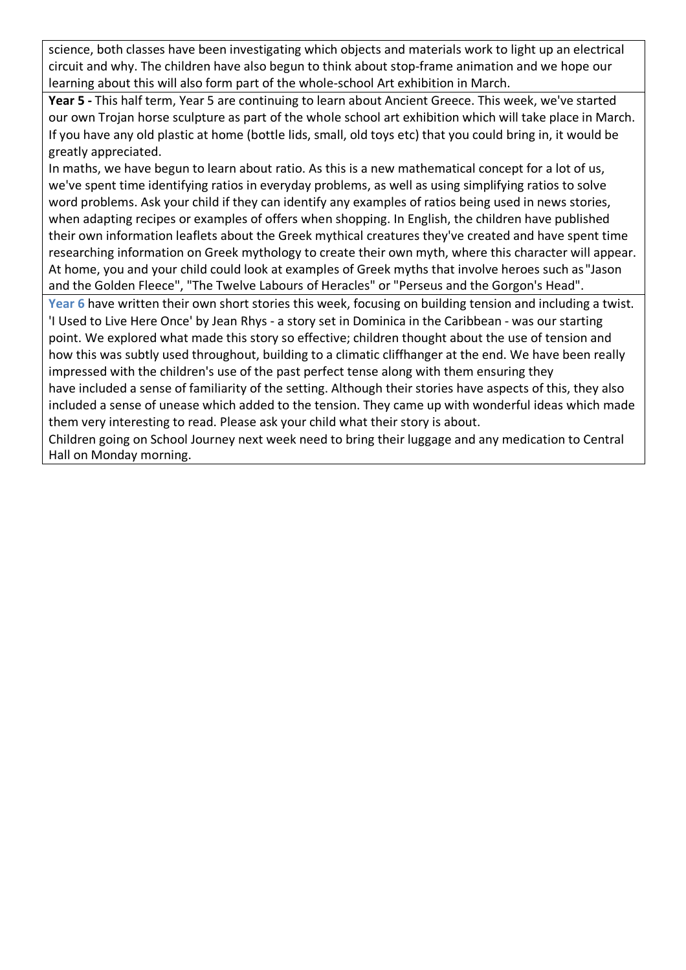science, both classes have been investigating which objects and materials work to light up an electrical circuit and why. The children have also begun to think about stop-frame animation and we hope our learning about this will also form part of the whole-school Art exhibition in March.

**Year 5 -** This half term, Year 5 are continuing to learn about Ancient Greece. This week, we've started our own Trojan horse sculpture as part of the whole school art exhibition which will take place in March. If you have any old plastic at home (bottle lids, small, old toys etc) that you could bring in, it would be greatly appreciated.

In maths, we have begun to learn about ratio. As this is a new mathematical concept for a lot of us, we've spent time identifying ratios in everyday problems, as well as using simplifying ratios to solve word problems. Ask your child if they can identify any examples of ratios being used in news stories, when adapting recipes or examples of offers when shopping. In English, the children have published their own information leaflets about the Greek mythical creatures they've created and have spent time researching information on Greek mythology to create their own myth, where this character will appear. At home, you and your child could look at examples of Greek myths that involve heroes such as "Jason and the Golden Fleece", "The Twelve Labours of Heracles" or "Perseus and the Gorgon's Head".

**Year 6** have written their own short stories this week, focusing on building tension and including a twist. 'I Used to Live Here Once' by Jean Rhys - a story set in Dominica in the Caribbean - was our starting point. We explored what made this story so effective; children thought about the use of tension and how this was subtly used throughout, building to a climatic cliffhanger at the end. We have been really impressed with the children's use of the past perfect tense along with them ensuring they have included a sense of familiarity of the setting. Although their stories have aspects of this, they also

included a sense of unease which added to the tension. They came up with wonderful ideas which made them very interesting to read. Please ask your child what their story is about.

Children going on School Journey next week need to bring their luggage and any medication to Central Hall on Monday morning.